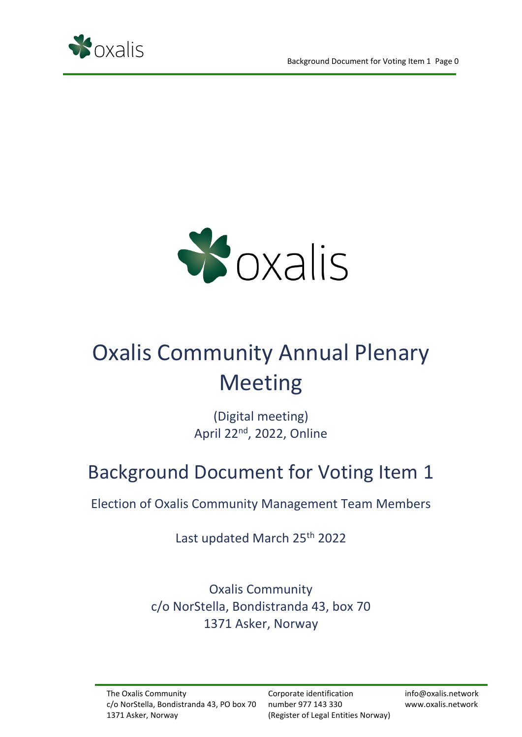



# Oxalis Community Annual Plenary Meeting

(Digital meeting) April 22<sup>nd</sup>, 2022, Online

## Background Document for Voting Item 1

Election of Oxalis Community Management Team Members

Last updated March 25th 2022

Oxalis Community c/o NorStella, Bondistranda 43, box 70 1371 Asker, Norway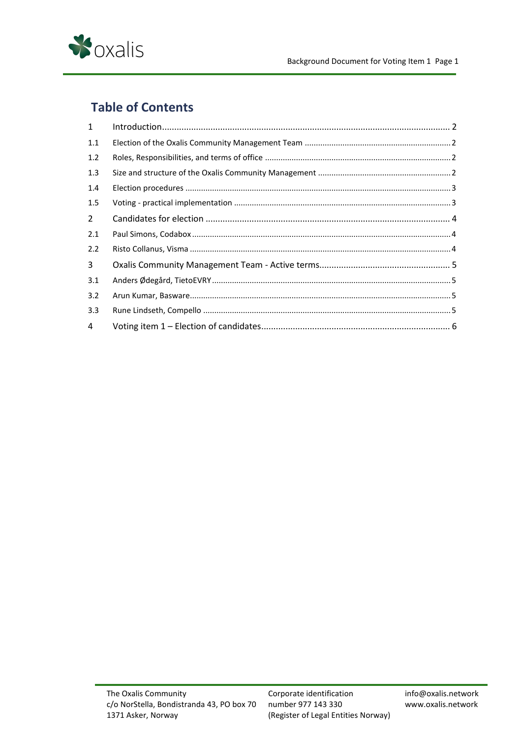

## **Table of Contents**

| $\mathbf{1}$   |  |
|----------------|--|
| 1.1            |  |
| 1.2            |  |
| 1.3            |  |
| 1.4            |  |
| 1.5            |  |
| $\overline{2}$ |  |
| 2.1            |  |
| 2.2            |  |
| 3              |  |
| 3.1            |  |
| 3.2            |  |
| 3.3            |  |
| 4              |  |
|                |  |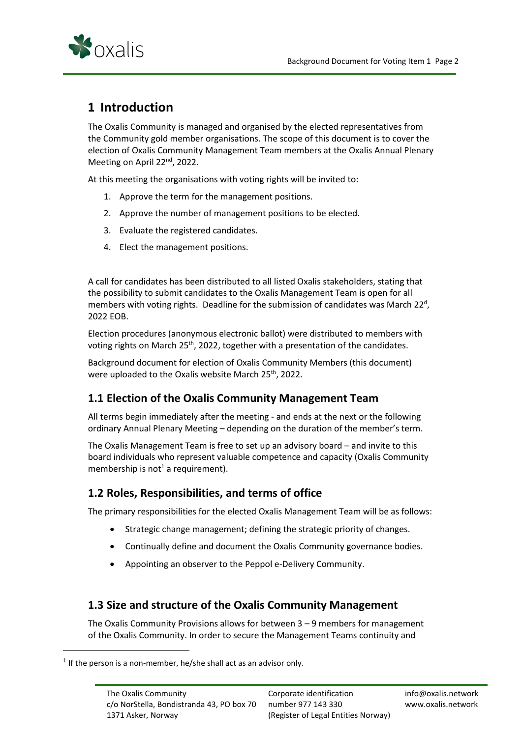

## <span id="page-2-0"></span>**1 Introduction**

The Oxalis Community is managed and organised by the elected representatives from the Community gold member organisations. The scope of this document is to cover the election of Oxalis Community Management Team members at the Oxalis Annual Plenary Meeting on April 22<sup>nd</sup>, 2022.

At this meeting the organisations with voting rights will be invited to:

- 1. Approve the term for the management positions.
- 2. Approve the number of management positions to be elected.
- 3. Evaluate the registered candidates.
- 4. Elect the management positions.

A call for candidates has been distributed to all listed Oxalis stakeholders, stating that the possibility to submit candidates to the Oxalis Management Team is open for all members with voting rights. Deadline for the submission of candidates was March 22<sup>d</sup>, 2022 EOB.

Election procedures (anonymous electronic ballot) were distributed to members with voting rights on March 25<sup>th</sup>, 2022, together with a presentation of the candidates.

Background document for election of Oxalis Community Members (this document) were uploaded to the Oxalis website March 25<sup>th</sup>, 2022.

## <span id="page-2-1"></span>**1.1 Election of the Oxalis Community Management Team**

All terms begin immediately after the meeting - and ends at the next or the following ordinary Annual Plenary Meeting – depending on the duration of the member's term.

The Oxalis Management Team is free to set up an advisory board – and invite to this board individuals who represent valuable competence and capacity (Oxalis Community membership is not<sup>1</sup> a requirement).

## <span id="page-2-2"></span>**1.2 Roles, Responsibilities, and terms of office**

The primary responsibilities for the elected Oxalis Management Team will be as follows:

- Strategic change management; defining the strategic priority of changes.
- Continually define and document the Oxalis Community governance bodies.
- Appointing an observer to the Peppol e-Delivery Community.

## <span id="page-2-3"></span>**1.3 Size and structure of the Oxalis Community Management**

The Oxalis Community Provisions allows for between 3 – 9 members for management of the Oxalis Community. In order to secure the Management Teams continuity and

 $<sup>1</sup>$  If the person is a non-member, he/she shall act as an advisor only.</sup>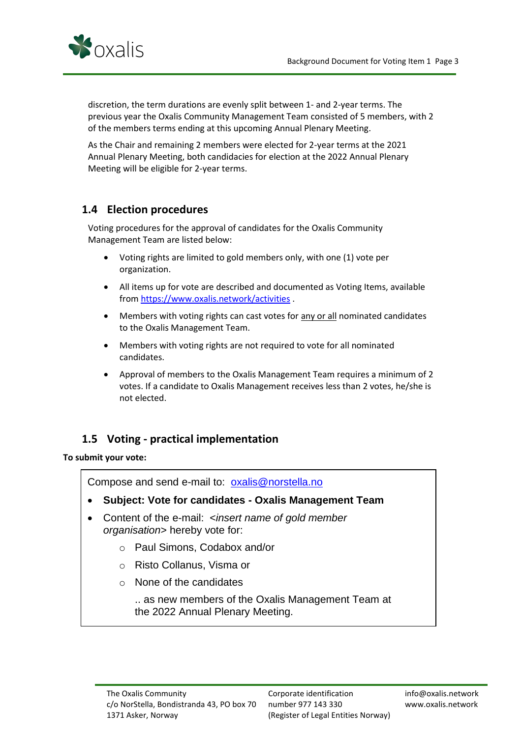

discretion, the term durations are evenly split between 1- and 2-year terms. The previous year the Oxalis Community Management Team consisted of 5 members, with 2 of the members terms ending at this upcoming Annual Plenary Meeting.

As the Chair and remaining 2 members were elected for 2-year terms at the 2021 Annual Plenary Meeting, both candidacies for election at the 2022 Annual Plenary Meeting will be eligible for 2-year terms.

## <span id="page-3-0"></span>**1.4 Election procedures**

Voting procedures for the approval of candidates for the Oxalis Community Management Team are listed below:

- Voting rights are limited to gold members only, with one (1) vote per organization.
- All items up for vote are described and documented as Voting Items, available fro[m https://www.oxalis.network/activities](https://www.oxalis.network/activities) .
- Members with voting rights can cast votes for any or all nominated candidates to the Oxalis Management Team.
- Members with voting rights are not required to vote for all nominated candidates.
- Approval of members to the Oxalis Management Team requires a minimum of 2 votes. If a candidate to Oxalis Management receives less than 2 votes, he/she is not elected.

## <span id="page-3-1"></span>**1.5 Voting - practical implementation**

#### **To submit your vote:**

Compose and send e-mail to: [oxalis@norstella.no](mailto:oxalis@norstella.no)

- **Subject: Vote for candidates - Oxalis Management Team**
- Content of the e-mail: <*insert name of gold member organisation*> hereby vote for:
	- o Paul Simons, Codabox and/or
	- o Risto Collanus, Visma or
	- o None of the candidates

.. as new members of the Oxalis Management Team at the 2022 Annual Plenary Meeting.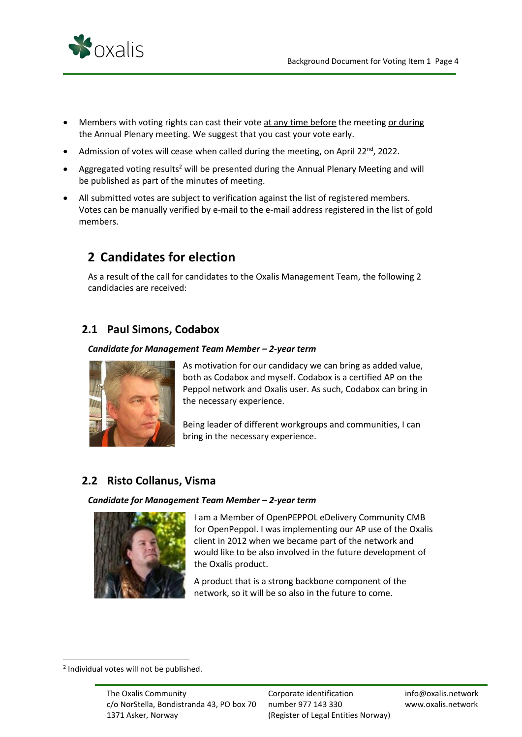

- Members with voting rights can cast their vote at any time before the meeting or during the Annual Plenary meeting. We suggest that you cast your vote early.
- Admission of votes will cease when called during the meeting, on April 22<sup>nd</sup>, 2022.
- Aggregated voting results<sup>2</sup> will be presented during the Annual Plenary Meeting and will be published as part of the minutes of meeting.
- All submitted votes are subject to verification against the list of registered members. Votes can be manually verified by e-mail to the e-mail address registered in the list of gold members.

## <span id="page-4-0"></span>**2 Candidates for election**

As a result of the call for candidates to the Oxalis Management Team, the following 2 candidacies are received:

## <span id="page-4-1"></span>**2.1 Paul Simons, Codabox**

#### *Candidate for Management Team Member – 2-year term*



As motivation for our candidacy we can bring as added value, both as Codabox and myself. Codabox is a certified AP on the Peppol network and Oxalis user. As such, Codabox can bring in the necessary experience.

Being leader of different workgroups and communities, I can bring in the necessary experience.

### <span id="page-4-2"></span>**2.2 Risto Collanus, Visma**

#### *Candidate for Management Team Member – 2-year term*



I am a Member of OpenPEPPOL eDelivery Community CMB for OpenPeppol. I was implementing our AP use of the Oxalis client in 2012 when we became part of the network and would like to be also involved in the future development of the Oxalis product.

A product that is a strong backbone component of the network, so it will be so also in the future to come.

<sup>&</sup>lt;sup>2</sup> Individual votes will not be published.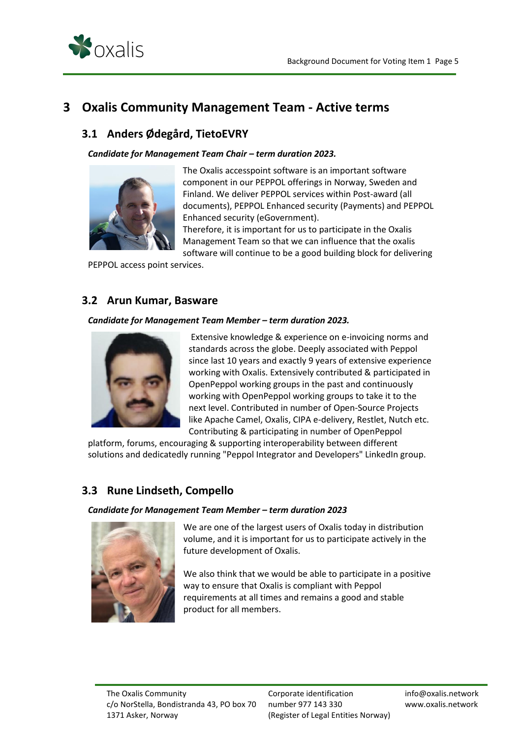

## <span id="page-5-1"></span><span id="page-5-0"></span>**3 Oxalis Community Management Team - Active terms**

## **3.1 Anders Ødegård, TietoEVRY**

#### *Candidate for Management Team Chair – term duration 2023.*



The Oxalis accesspoint software is an important software component in our PEPPOL offerings in Norway, Sweden and Finland. We deliver PEPPOL services within Post-award (all documents), PEPPOL Enhanced security (Payments) and PEPPOL Enhanced security (eGovernment).

Therefore, it is important for us to participate in the Oxalis Management Team so that we can influence that the oxalis software will continue to be a good building block for delivering

PEPPOL access point services.

#### <span id="page-5-2"></span>**3.2 Arun Kumar, Basware**

#### *Candidate for Management Team Member – term duration 2023.*



Extensive knowledge & experience on e-invoicing norms and standards across the globe. Deeply associated with Peppol since last 10 years and exactly 9 years of extensive experience working with Oxalis. Extensively contributed & participated in OpenPeppol working groups in the past and continuously working with OpenPeppol working groups to take it to the next level. Contributed in number of Open-Source Projects like Apache Camel, Oxalis, CIPA e-delivery, Restlet, Nutch etc. Contributing & participating in number of OpenPeppol

platform, forums, encouraging & supporting interoperability between different solutions and dedicatedly running "Peppol Integrator and Developers" LinkedIn group.

## <span id="page-5-3"></span>**3.3 Rune Lindseth, Compello**

#### *Candidate for Management Team Member – term duration 2023*



We are one of the largest users of Oxalis today in distribution volume, and it is important for us to participate actively in the future development of Oxalis.

We also think that we would be able to participate in a positive way to ensure that Oxalis is compliant with Peppol requirements at all times and remains a good and stable product for all members.